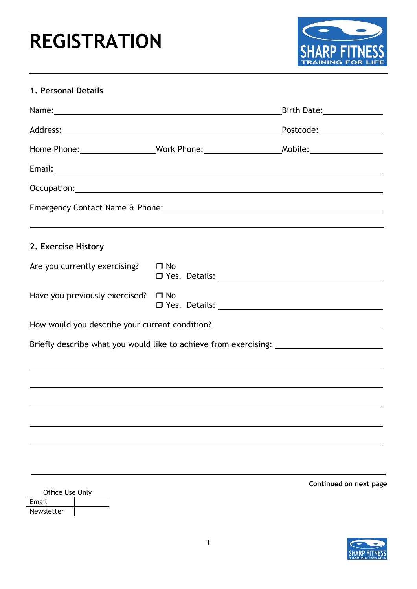## **REGISTRATION**



## **1. Personal Details**

|                                          |                                                                                                                                                                                                                                | Birth Date: ______________ |
|------------------------------------------|--------------------------------------------------------------------------------------------------------------------------------------------------------------------------------------------------------------------------------|----------------------------|
|                                          |                                                                                                                                                                                                                                | Postcode:________________  |
|                                          |                                                                                                                                                                                                                                |                            |
|                                          |                                                                                                                                                                                                                                |                            |
|                                          | Occupation: New York Street, New York Street, New York Street, New York Street, New York Street, New York Street, New York Street, New York Street, New York Street, New York Street, New York Street, New York Street, New Yo |                            |
|                                          |                                                                                                                                                                                                                                |                            |
|                                          |                                                                                                                                                                                                                                |                            |
| 2. Exercise History                      |                                                                                                                                                                                                                                |                            |
| Are you currently exercising?            | $\Box$ No                                                                                                                                                                                                                      |                            |
| Have you previously exercised? $\Box$ No |                                                                                                                                                                                                                                |                            |
|                                          | How would you describe your current condition?<br><u> Lettion 2000</u>                                                                                                                                                         |                            |
|                                          | Briefly describe what you would like to achieve from exercising: ________________                                                                                                                                              |                            |
|                                          | ,我们也不会有什么。""我们的人,我们也不会有什么?""我们的人,我们也不会有什么?""我们的人,我们也不会有什么?""我们的人,我们也不会有什么?""我们的人                                                                                                                                               |                            |
|                                          |                                                                                                                                                                                                                                |                            |
|                                          |                                                                                                                                                                                                                                |                            |
|                                          |                                                                                                                                                                                                                                |                            |
|                                          |                                                                                                                                                                                                                                |                            |
|                                          |                                                                                                                                                                                                                                |                            |
|                                          |                                                                                                                                                                                                                                | Continued on next page     |
| Office Use Only<br>Email                 |                                                                                                                                                                                                                                |                            |
| Newsletter                               |                                                                                                                                                                                                                                |                            |